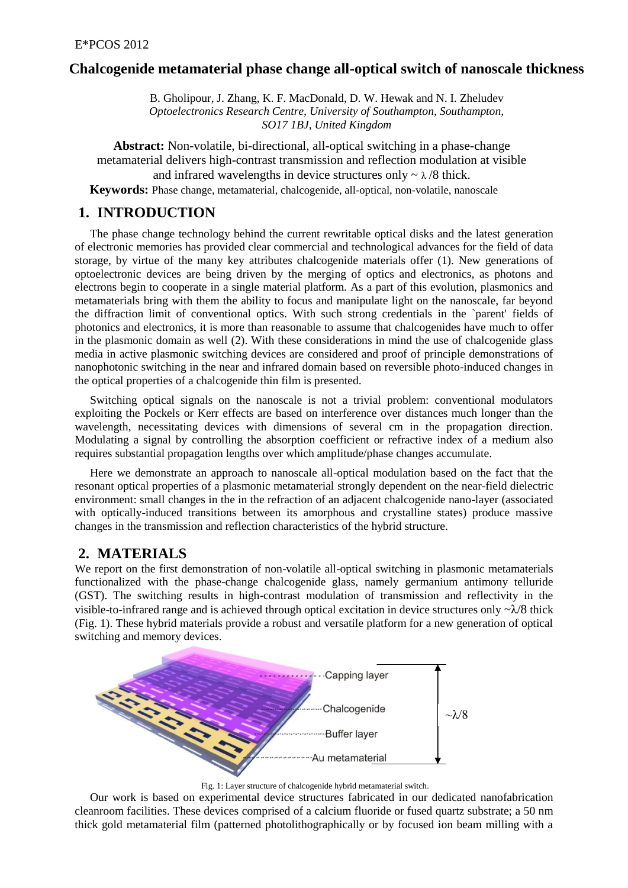#### **Chalcogenide metamaterial phase change all-optical switch of nanoscale thickness**

B. Gholipour, J. Zhang, K. F. MacDonald, D. W. Hewak and N. I. Zheludev *Optoelectronics Research Centre, University of Southampton, Southampton, SO17 1BJ, United Kingdom*

**Abstract:** Non-volatile, bi-directional, all-optical switching in a phase-change metamaterial delivers high-contrast transmission and reflection modulation at visible and infrared wavelengths in device structures only  $\sim \lambda/8$  thick. **Keywords:** Phase change, metamaterial, chalcogenide, all-optical, non-volatile, nanoscale

### **1. INTRODUCTION**

The phase change technology behind the current rewritable optical disks and the latest generation of electronic memories has provided clear commercial and technological advances for the field of data storage, by virtue of the many key attributes chalcogenide materials offer (1). New generations of optoelectronic devices are being driven by the merging of optics and electronics, as photons and electrons begin to cooperate in a single material platform. As a part of this evolution, plasmonics and metamaterials bring with them the ability to focus and manipulate light on the nanoscale, far beyond the diffraction limit of conventional optics. With such strong credentials in the `parent' fields of photonics and electronics, it is more than reasonable to assume that chalcogenides have much to offer in the plasmonic domain as well (2). With these considerations in mind the use of chalcogenide glass media in active plasmonic switching devices are considered and proof of principle demonstrations of nanophotonic switching in the near and infrared domain based on reversible photo-induced changes in the optical properties of a chalcogenide thin film is presented.

Switching optical signals on the nanoscale is not a trivial problem: conventional modulators exploiting the Pockels or Kerr effects are based on interference over distances much longer than the wavelength, necessitating devices with dimensions of several cm in the propagation direction. Modulating a signal by controlling the absorption coefficient or refractive index of a medium also requires substantial propagation lengths over which amplitude/phase changes accumulate.

Here we demonstrate an approach to nanoscale all-optical modulation based on the fact that the resonant optical properties of a plasmonic metamaterial strongly dependent on the near-field dielectric environment: small changes in the in the refraction of an adjacent chalcogenide nano-layer (associated with optically-induced transitions between its amorphous and crystalline states) produce massive changes in the transmission and reflection characteristics of the hybrid structure.

## **2. MATERIALS**

We report on the first demonstration of non-volatile all-optical switching in plasmonic metamaterials functionalized with the phase-change chalcogenide glass, namely germanium antimony telluride (GST). The switching results in high-contrast modulation of transmission and reflectivity in the visible-to-infrared range and is achieved through optical excitation in device structures only  $-\lambda/8$  thick (Fig. 1). These hybrid materials provide a robust and versatile platform for a new generation of optical switching and memory devices.



Fig. 1: Layer structure of chalcogenide hybrid metamaterial switch.

Our work is based on experimental device structures fabricated in our dedicated nanofabrication cleanroom facilities. These devices comprised of a calcium fluoride or fused quartz substrate; a 50 nm thick gold metamaterial film (patterned photolithographically or by focused ion beam milling with a